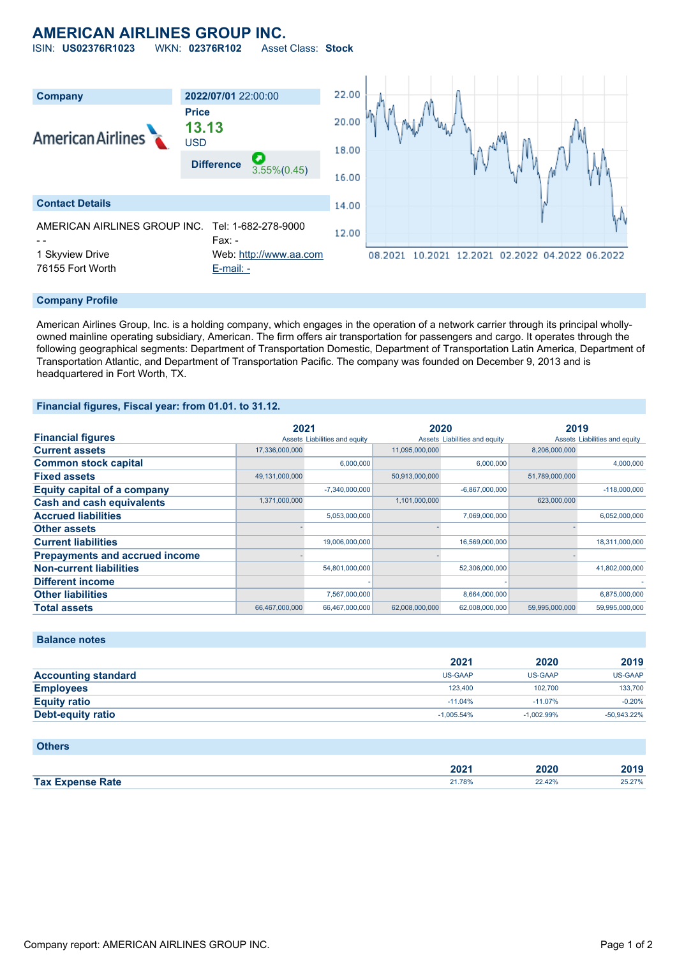# **AMERICAN AIRLINES GROUP INC.**

ISIN: **US02376R1023** WKN: **02376R102** Asset Class: **Stock**



#### **Company Profile**

American Airlines Group, Inc. is a holding company, which engages in the operation of a network carrier through its principal whollyowned mainline operating subsidiary, American. The firm offers air transportation for passengers and cargo. It operates through the following geographical segments: Department of Transportation Domestic, Department of Transportation Latin America, Department of Transportation Atlantic, and Department of Transportation Pacific. The company was founded on December 9, 2013 and is headquartered in Fort Worth, TX.

#### **Financial figures, Fiscal year: from 01.01. to 31.12.**

|                                       | 2021           |                               | 2020           |                               | 2019           |                               |
|---------------------------------------|----------------|-------------------------------|----------------|-------------------------------|----------------|-------------------------------|
| <b>Financial figures</b>              |                | Assets Liabilities and equity |                | Assets Liabilities and equity |                | Assets Liabilities and equity |
| <b>Current assets</b>                 | 17,336,000,000 |                               | 11,095,000,000 |                               | 8,206,000,000  |                               |
| <b>Common stock capital</b>           |                | 6,000,000                     |                | 6,000,000                     |                | 4,000,000                     |
| <b>Fixed assets</b>                   | 49,131,000,000 |                               | 50,913,000,000 |                               | 51,789,000,000 |                               |
| <b>Equity capital of a company</b>    |                | $-7,340,000,000$              |                | $-6,867,000,000$              |                | $-118,000,000$                |
| <b>Cash and cash equivalents</b>      | 1,371,000,000  |                               | 1,101,000,000  |                               | 623,000,000    |                               |
| <b>Accrued liabilities</b>            |                | 5,053,000,000                 |                | 7,069,000,000                 |                | 6,052,000,000                 |
| <b>Other assets</b>                   |                |                               |                |                               |                |                               |
| <b>Current liabilities</b>            |                | 19,006,000,000                |                | 16,569,000,000                |                | 18,311,000,000                |
| <b>Prepayments and accrued income</b> |                |                               |                |                               |                |                               |
| <b>Non-current liabilities</b>        |                | 54,801,000,000                |                | 52,306,000,000                |                | 41,802,000,000                |
| <b>Different income</b>               |                |                               |                |                               |                |                               |
| <b>Other liabilities</b>              |                | 7,567,000,000                 |                | 8,664,000,000                 |                | 6,875,000,000                 |
| <b>Total assets</b>                   | 66,467,000,000 | 66,467,000,000                | 62,008,000,000 | 62,008,000,000                | 59,995,000,000 | 59,995,000,000                |

### **Balance notes**

|                            | 2021         | 2020           | 2019           |
|----------------------------|--------------|----------------|----------------|
| <b>Accounting standard</b> | US-GAAP      | <b>US-GAAP</b> | US-GAAP        |
| <b>Employees</b>           | 123,400      | 102.700        | 133,700        |
| <b>Equity ratio</b>        | $-11.04%$    | $-11.07%$      | $-0.20%$       |
| Debt-equity ratio          | $-1.005.54%$ | $-1.002.99%$   | $-50.943.22\%$ |

#### **Others**

|                         | ר הר<br>ZUZ 1 | 2020   | 2019           |
|-------------------------|---------------|--------|----------------|
| <b>Tax Expense Rate</b> | 21.78%        | 22.42% | 5.270/<br>LJ.L |